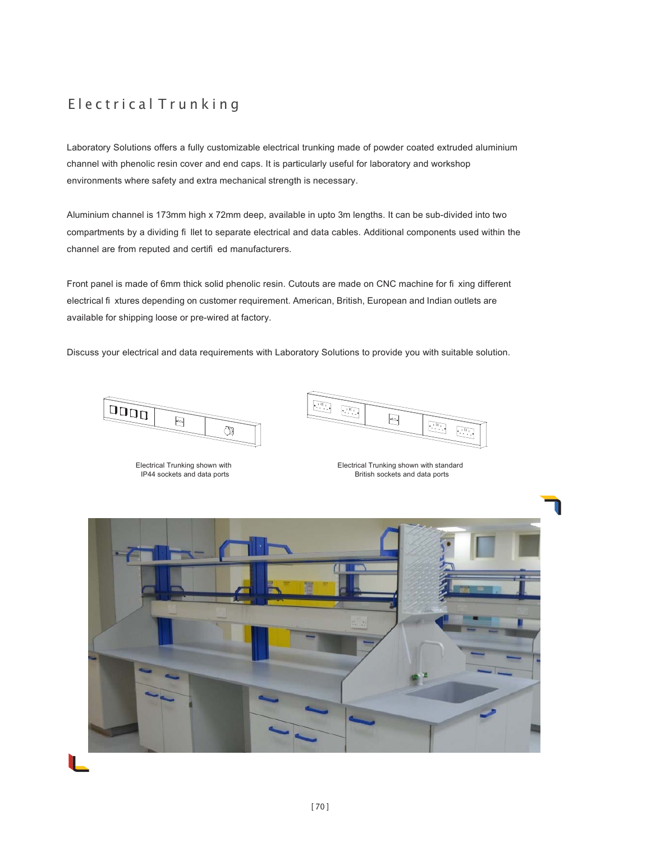# Electrical Trunking

Laboratory Solutions offers a fully customizable electrical trunking made of powder coated extruded aluminium channel with phenolic resin cover and end caps. It is particularly useful for laboratory and workshop environments where safety and extra mechanical strength is necessary.

Aluminium channel is 173mm high x 72mm deep, available in upto 3m lengths. It can be sub-divided into two compartments by a dividing fi llet to separate electrical and data cables. Additional components used within the channel are from reputed and certifi ed manufacturers.

Front panel is made of 6mm thick solid phenolic resin. Cutouts are made on CNC machine for fi xing different electrical fi xtures depending on customer requirement. American, British, European and Indian outlets are available for shipping loose or pre-wired at factory.

Discuss your electrical and data requirements with Laboratory Solutions to provide you with suitable solution.



Electrical Trunking shown with IP44 sockets and data ports



Electrical Trunking shown with standard British sockets and data ports

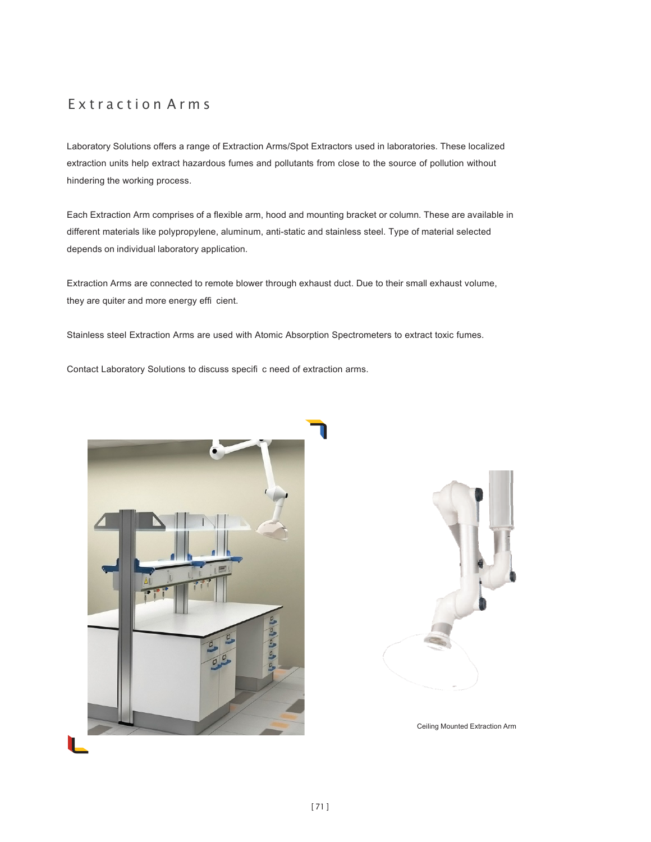## Extraction Arms

Laboratory Solutions offers a range of Extraction Arms/Spot Extractors used in laboratories. These localized extraction units help extract hazardous fumes and pollutants from close to the source of pollution without hindering the working process.

Each Extraction Arm comprises of a flexible arm, hood and mounting bracket or column. These are available in different materials like polypropylene, aluminum, anti-static and stainless steel. Type of material selected depends on individual laboratory application.

Extraction Arms are connected to remote blower through exhaust duct. Due to their small exhaust volume, they are quiter and more energy effi cient.

Stainless steel Extraction Arms are used with Atomic Absorption Spectrometers to extract toxic fumes.

Contact Laboratory Solutions to discuss specifi c need of extraction arms.





Ceiling Mounted Extraction Arm